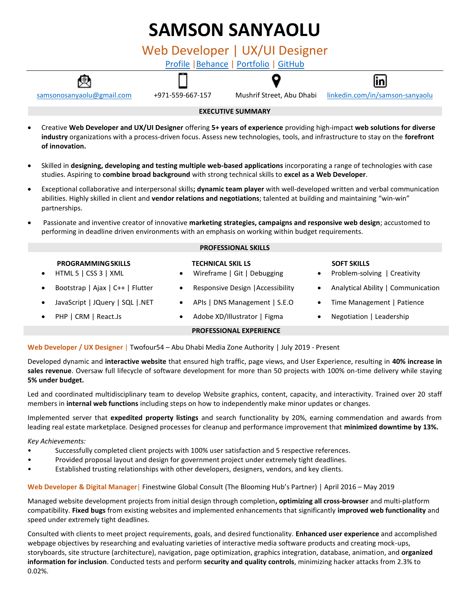# **SAMSON SANYAOLU** Web Developer | UX/UI Designer [Profile](http://www.sosarena.com/profile) [|Behance](https://www.behance.net/sosarenaint) | [Portfolio](http://www.sosarena.com/portfolio) | [GitHub](https://github.com/Sosarenaint)



#### **EXECUTIVE SUMMARY**

- Creative **Web Developer and UX/UI Designer** offering **5+ years of experience** providing high-impact **web solutions for diverse industry** organizations with a process-driven focus. Assess new technologies, tools, and infrastructure to stay on the **forefront of innovation.**
- Skilled in **designing, developing and testing multiple web-based applications** incorporating a range of technologies with case studies. Aspiring to **combine broad background** with strong technical skills to **excel as a Web Developer**.
- Exceptional collaborative and interpersonal skills**; dynamic team player** with well-developed written and verbal communication abilities. Highly skilled in client and **vendor relations and negotiations**; talented at building and maintaining "win-win" partnerships.
- Passionate and inventive creator of innovative **marketing strategies, campaigns and responsive web design**; accustomed to performing in deadline driven environments with an emphasis on working within budget requirements.

| <b>PROFESSIONAL SKILLS</b>                                     |                                                                      |                                                                 |
|----------------------------------------------------------------|----------------------------------------------------------------------|-----------------------------------------------------------------|
| <b>PROGRAMMING SKILLS</b><br>HTML 5   CSS 3   XML<br>$\bullet$ | <b>TECHNICAL SKIL LS</b><br>Wireframe   Git   Debugging<br>$\bullet$ | <b>SOFT SKILLS</b><br>Problem-solving   Creativity<br>$\bullet$ |
| Bootstrap   Ajax   C++   Flutter                               | Responsive Design   Accessibility<br>$\bullet$                       | Analytical Ability   Communication<br>$\bullet$                 |
| JavaScript   JQuery   SQL   NET                                | APIs   DNS Management   S.E.O<br>$\bullet$                           | Time Management   Patience<br>$\bullet$                         |
| PHP   CRM   React.Js                                           | Adobe XD/Illustrator   Figma<br>$\bullet$                            | Negotiation   Leadership<br>$\bullet$                           |
|                                                                | <b>PROFESSIONAL EXPERIENCE</b>                                       |                                                                 |

# **Web Developer / UX Designer** | Twofour54 – Abu Dhabi Media Zone Authority | July 2019 - Present

Developed dynamic and **interactive website** that ensured high traffic, page views, and User Experience, resulting in **40% increase in sales revenue**. Oversaw full lifecycle of software development for more than 50 projects with 100% on-time delivery while staying **5% under budget.**

Led and coordinated multidisciplinary team to develop Website graphics, content, capacity, and interactivity. Trained over 20 staff members in **internal web functions** including steps on how to independently make minor updates or changes.

Implemented server that **expedited property listings** and search functionality by 20%, earning commendation and awards from leading real estate marketplace. Designed processes for cleanup and performance improvement that **minimized downtime by 13%.**

# *Key Achievements:*

- Successfully completed client projects with 100% user satisfaction and 5 respective references.
- Provided proposal layout and design for government project under extremely tight deadlines.
- Established trusting relationships with other developers, designers, vendors, and key clients.

**Web Developer & Digital Manager**| Finestwine Global Consult (The Blooming Hub's Partner) | April 2016 – May 2019

Managed website development projects from initial design through completion**, optimizing all cross-browser** and multi-platform compatibility. **Fixed bugs** from existing websites and implemented enhancements that significantly **improved web functionality** and speed under extremely tight deadlines.

Consulted with clients to meet project requirements, goals, and desired functionality. **Enhanced user experience** and accomplished webpage objectives by researching and evaluating varieties of interactive media software products and creating mock-ups, storyboards, site structure (architecture), navigation, page optimization, graphics integration, database, animation, and **organized information for inclusion**. Conducted tests and perform **security and quality controls**, minimizing hacker attacks from 2.3% to 0.02%.